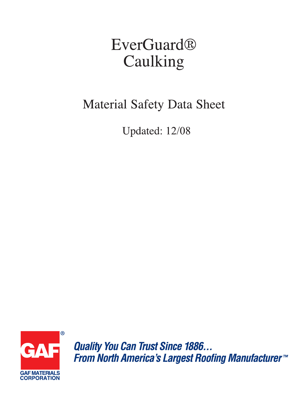# **EverGuard®** Caulking

# **Material Safety Data Sheet**

Updated: 12/08



**Quality You Can Trust Since 1886...** From North America's Largest Roofing Manufacturer<sup>™</sup>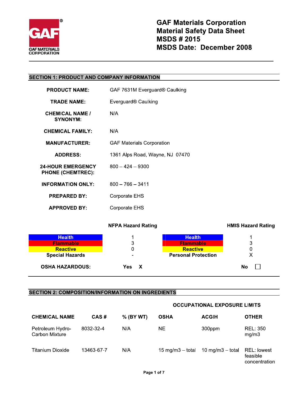

# **SECTION 1: PRODUCT AND COMPANY INFORMATION**

| <b>PRODUCT NAME:</b>                                 | GAF 7631M Everguard® Caulking    |
|------------------------------------------------------|----------------------------------|
| <b>TRADE NAME:</b>                                   | Everguard <sup>®</sup> Caulking  |
| <b>CHEMICAL NAME /</b><br><b>SYNONYM:</b>            | N/A                              |
| <b>CHEMICAL FAMILY:</b>                              | N/A                              |
| <b>MANUFACTURER:</b>                                 | <b>GAF Materials Corporation</b> |
| <b>ADDRESS:</b>                                      | 1361 Alps Road, Wayne, NJ 07470  |
| <b>24-HOUR EMERGENCY</b><br><b>PHONE (CHEMTREC):</b> | $800 - 424 - 9300$               |
| <b>INFORMATION ONLY:</b>                             | $800 - 766 - 3411$               |
| <b>PREPARED BY:</b>                                  | Corporate EHS                    |
| <b>APPROVED BY:</b>                                  | Corporate EHS                    |

**NFPA Hazard Rating** 

**HMIS Hazard Rating** 

| <b>Health</b><br><b>Flammable</b> | 3         | <b>Health</b><br><b>Flammable</b> | w  |
|-----------------------------------|-----------|-----------------------------------|----|
| <b>Reactive</b>                   |           | <b>Reactive</b>                   |    |
| <b>Special Hazards</b>            | ۰         | <b>Personal Protection</b>        |    |
| <b>OSHA HAZARDOUS:</b>            | Yes.<br>X |                                   | No |

# **SECTION 2: COMPOSITION/INFORMATION ON INGREDIENTS**

|                                    |            |           |                    |                       | <b>OCCUPATIONAL EXPOSURE LIMITS</b>             |  |
|------------------------------------|------------|-----------|--------------------|-----------------------|-------------------------------------------------|--|
| <b>CHEMICAL NAME</b>               | CAS#       | % (BY WT) | <b>OSHA</b>        | <b>ACGIH</b>          | <b>OTHER</b>                                    |  |
| Petroleum Hydro-<br>Carbon Mixture | 8032-32-4  | N/A       | NE.                | 300ppm                | <b>REL: 350</b><br>mg/m3                        |  |
| <b>Titanium Dioxide</b>            | 13463-67-7 | N/A       | 15 mg/m $3-$ total | $10$ mg/m $3 -$ total | <b>REL:</b> lowest<br>feasible<br>concentration |  |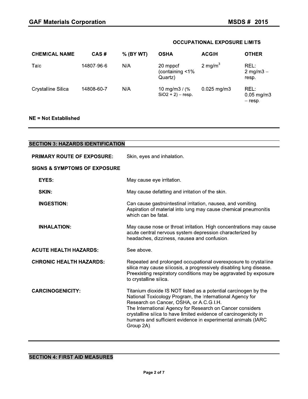# **OCCUPATIONAL EXPOSURE LIMITS**

| <b>CHEMICAL NAME</b> | CAS#       | % (BY WT) | <b>OSHA</b>                              | <b>ACGIH</b>        | <b>OTHER</b>                                 |
|----------------------|------------|-----------|------------------------------------------|---------------------|----------------------------------------------|
| Talc                 | 14807-96-6 | N/A       | 20 mppcf<br>(containing <1%<br>Quartz)   | 2 mg/m <sup>3</sup> | REL:<br>2 mg/m $3 -$<br>resp.                |
| Crystalline Silica   | 14808-60-7 | N/A       | 10 mg/m $3 /$ (%<br>$SiO2 + 2$ ) – resp. | $0.025$ mg/m3       | REL:<br>$0.05 \,\mathrm{mg/m3}$<br>$-$ resp. |

# **NE = Not Established**

| <b>SECTION 3: HAZARDS IDENTIFICATION</b> |                                                                                                                                                                                                                                                                                                                                                                                         |
|------------------------------------------|-----------------------------------------------------------------------------------------------------------------------------------------------------------------------------------------------------------------------------------------------------------------------------------------------------------------------------------------------------------------------------------------|
| <b>PRIMARY ROUTE OF EXPOSURE:</b>        | Skin, eyes and inhalation.                                                                                                                                                                                                                                                                                                                                                              |
| <b>SIGNS &amp; SYMPTOMS OF EXPOSURE</b>  |                                                                                                                                                                                                                                                                                                                                                                                         |
| <b>EYES:</b>                             | May cause eye irritation.                                                                                                                                                                                                                                                                                                                                                               |
| SKIN:                                    | May cause defatting and irritation of the skin.                                                                                                                                                                                                                                                                                                                                         |
| <b>INGESTION:</b>                        | Can cause gastrointestinal irritation, nausea, and vomiting.<br>Aspiration of material into lung may cause chemical pneumonitis<br>which can be fatal.                                                                                                                                                                                                                                  |
| <b>INHALATION:</b>                       | May cause nose or throat irritation. High concentrations may cause<br>acute central nervous system depression characterized by<br>headaches, dizziness, nausea and confusion.                                                                                                                                                                                                           |
| <b>ACUTE HEALTH HAZARDS:</b>             | See above.                                                                                                                                                                                                                                                                                                                                                                              |
| <b>CHRONIC HEALTH HAZARDS:</b>           | Repeated and prolonged occupational overexposure to crystalline<br>silica may cause silicosis, a progressively disabling lung disease.<br>Preexisting respiratory conditions may be aggravated by exposure<br>to crystalline silica.                                                                                                                                                    |
| <b>CARCINOGENICITY:</b>                  | Titanium dioxide IS NOT listed as a potential carcinogen by the<br>National Toxicology Program, the International Agency for<br>Research on Cancer, OSHA, or A.C.G.I.H.<br>The International Agency for Research on Cancer considers<br>crystalline silica to have limited evidence of carcinogenicity in<br>humans and sufficient evidence in experimental animals (IARC<br>Group 2A). |

# **SECTION 4: FIRST AID MEASURES**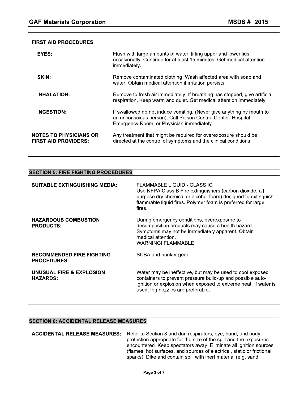#### FIRST AID PROCEDURES

| <b>GAF Materials Corporation</b>                             | <b>MSDS# 2015</b>                                                                                                                                                                  |
|--------------------------------------------------------------|------------------------------------------------------------------------------------------------------------------------------------------------------------------------------------|
|                                                              |                                                                                                                                                                                    |
| <b>FIRST AID PROCEDURES</b>                                  |                                                                                                                                                                                    |
| EYES:                                                        | Flush with large amounts of water, lifting upper and lower lids<br>occasionally. Continue for at least 15 minutes. Get medical attention<br>immediately.                           |
| SKIN:                                                        | Remove contaminated clothing. Wash affected area with soap and<br>water. Obtain medical attention if irritation persists.                                                          |
| <b>INHALATION:</b>                                           | Remove to fresh air immediately. If breathing has stopped, give artificial<br>respiration. Keep warm and quiet. Get medical attention immediately.                                 |
| <b>INGESTION:</b>                                            | If swallowed do not induce vomiting. (Never give anything by mouth to<br>an unconscious person). Call Poison Control Center, Hospital<br>Emergency Room, or Physician immediately. |
| <b>NOTES TO PHYSICIANS OR</b><br><b>FIRST AID PROVIDERS:</b> | Any treatment that might be required for overexposure should be<br>directed at the control of symptoms and the clinical conditions.                                                |

#### SECTION 5: FIRE FIGHTING PROCEDURES

| <b>FIRST AID PROVIDERS:</b>                            | a baan on a ander might bond gan bandi or or oxpobal o on<br>directed at the control of symptoms and the clinical conditions.                                                                                                    |  |  |
|--------------------------------------------------------|----------------------------------------------------------------------------------------------------------------------------------------------------------------------------------------------------------------------------------|--|--|
|                                                        |                                                                                                                                                                                                                                  |  |  |
| <b>SECTION 5: FIRE FIGHTING PROCEDURES</b>             |                                                                                                                                                                                                                                  |  |  |
| <b>SUITABLE EXTINGUISHING MEDIA:</b>                   | FLAMMABLE LIQUID - CLASS IC<br>Use NFPA Class B Fire extinguishers (carbon dioxide, all<br>purpose dry chemical or alcohol foam) designed to extinguish<br>flammable liquid fires. Polymer foam is preferred for large<br>fires. |  |  |
| <b>HAZARDOUS COMBUSTION</b><br><b>PRODUCTS:</b>        | During emergency conditions, overexposure to<br>decomposition products may cause a health hazard.<br>Symptoms may not be immediately apparent. Obtain<br>medical attention.<br><b>WARNING! FLAMMABLE.</b>                        |  |  |
| <b>RECOMMENDED FIRE FIGHTING</b><br><b>PROCEDURES:</b> | SCBA and bunker gear.                                                                                                                                                                                                            |  |  |
| UNUSUAL FIRE & EXPLOSION<br><b>HAZARDS:</b>            | Water may be ineffective, but may be used to cool exposed<br>containers to prevent pressure build-up and possible auto-<br>ignition or explosion when exposed to extreme heat. If water is<br>used, fog nozzles are preferable.  |  |  |

#### SECTION 6: ACCIDENTAL RELEASE MEASURES

ACCIDENTAL RELEASE MEASURES: Refer to Section 8 and don respirators, eye, hand, and body protection appropriate for the size of the spill and the exposures encountered. Keep spectators away. Eliminate all ignition sources (flames, hot surfaces, and sources of electrical, static or frictional sparks). Dike and contain spill with inert material (e.g. sand,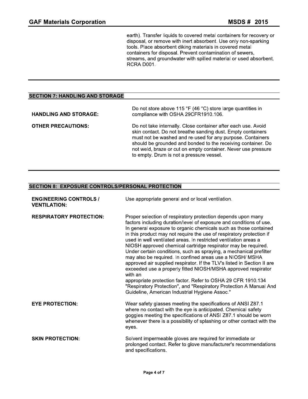MSDS # 2015<br>
earth). Transfer liquids to covered metal containers for recovery or<br>
disposal, or remove with inert absorbent. Use only non-sparking<br>
tools. Place absorbent diking materials in covered metal<br>
containers for d

# SECTION 7: HANDLING AND STORAGE

|                                                         | 0, and groundmatch mini opinod matonal or acca abourb<br>RCRA D001.                                                                                                                                                                                                                                                                                                     |
|---------------------------------------------------------|-------------------------------------------------------------------------------------------------------------------------------------------------------------------------------------------------------------------------------------------------------------------------------------------------------------------------------------------------------------------------|
|                                                         |                                                                                                                                                                                                                                                                                                                                                                         |
| <b>SECTION 7: HANDLING AND STORAGE</b>                  |                                                                                                                                                                                                                                                                                                                                                                         |
| <b>HANDLING AND STORAGE:</b>                            | Do not store above 115 °F (46 °C) store large quantities in<br>compliance with OSHA 29CFR1910.106.                                                                                                                                                                                                                                                                      |
| <b>OTHER PRECAUTIONS:</b>                               | Do not take internally. Close container after each use. Avoid<br>skin contact. Do not breathe sanding dust. Empty containers<br>must not be washed and re-used for any purpose. Containers<br>should be grounded and bonded to the receiving container. Do<br>not weld, braze or cut on empty container. Never use pressure<br>to empty. Drum is not a pressure vessel. |
| <b>SECTION 8: EXPOSURE CONTROLS/PERSONAL PROTECTION</b> |                                                                                                                                                                                                                                                                                                                                                                         |
| <b>ENGINEERING CONTROLS /</b><br><b>VENTILATION:</b>    | Use appropriate general and or local ventilation.                                                                                                                                                                                                                                                                                                                       |

# SECTION 8: EXPOSURE CONTROLS/PERSONAL PROTECTION

| <b>SECTION 8: EXPOSURE CONTROLS/PERSONAL PROTECTION</b> |                                                                                                                                                                                                                                                                                                                                                                                                                                                                                                                                                                                                                                                                                                                                                                                                                                                                                                        |
|---------------------------------------------------------|--------------------------------------------------------------------------------------------------------------------------------------------------------------------------------------------------------------------------------------------------------------------------------------------------------------------------------------------------------------------------------------------------------------------------------------------------------------------------------------------------------------------------------------------------------------------------------------------------------------------------------------------------------------------------------------------------------------------------------------------------------------------------------------------------------------------------------------------------------------------------------------------------------|
| <b>ENGINEERING CONTROLS /</b><br><b>VENTILATION:</b>    | Use appropriate general and or local ventilation.                                                                                                                                                                                                                                                                                                                                                                                                                                                                                                                                                                                                                                                                                                                                                                                                                                                      |
| <b>RESPIRATORY PROTECTION:</b>                          | Proper selection of respiratory protection depends upon many<br>factors including duration/level of exposure and conditions of use.<br>In general exposure to organic chemicals such as those contained<br>in this product may not require the use of respiratory protection if<br>used in well ventilated areas. In restricted ventilation areas a<br>NIOSH approved chemical cartridge respirator may be required.<br>Under certain conditions, such as spraying, a mechanical prefilter<br>may also be required. In confined areas use a NIOSH/ MSHA<br>approved air supplied respirator. If the TLV's listed in Section II are<br>exceeded use a properly fitted NIOSH/MSHA approved respirator<br>with an<br>appropriate protection factor. Refer to OSHA 29 CFR 1910.134<br>"Respiratory Protection", and "Respiratory Protection A Manual And<br>Guideline, American Industrial Hygiene Assoc." |
| <b>EYE PROTECTION:</b>                                  | Wear safety glasses meeting the specifications of ANSI Z87.1<br>where no contact with the eye is anticipated. Chemical safety<br>goggles meeting the specifications of ANSI Z87.1 should be worn<br>whenever there is a possibility of splashing or other contact with the<br>eyes.                                                                                                                                                                                                                                                                                                                                                                                                                                                                                                                                                                                                                    |
| <b>SKIN PROTECTION:</b>                                 | Solvent impermeable gloves are required for immediate or<br>prolonged contact. Refer to glove manufacturer's recommendations<br>and specifications.                                                                                                                                                                                                                                                                                                                                                                                                                                                                                                                                                                                                                                                                                                                                                    |
|                                                         | Page 4 of 7                                                                                                                                                                                                                                                                                                                                                                                                                                                                                                                                                                                                                                                                                                                                                                                                                                                                                            |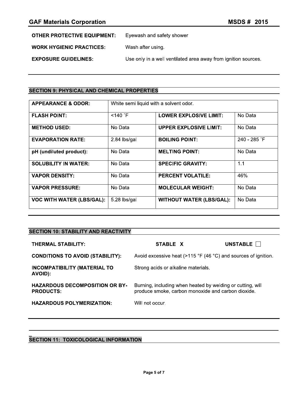| <b>OTHER PROTECTIVE EQUIPMENT:</b> | Eyewash and safety shower |
|------------------------------------|---------------------------|
|                                    |                           |

**WORK HYGIENIC PRACTICES:** Wash after using.

**EXPOSURE GUIDELINES:** Use only in a well ventilated area away from ignition sources.

# **SECTION 9: PHYSICAL AND CHEMICAL PROPERTIES**

| <b>APPEARANCE &amp; ODOR:</b>    | White semi liquid with a solvent odor. |                                 |              |
|----------------------------------|----------------------------------------|---------------------------------|--------------|
| <b>FLASH POINT:</b>              | $<$ 140 $\degree$ F                    | <b>LOWER EXPLOSIVE LIMIT:</b>   | No Data      |
| <b>METHOD USED:</b>              | No Data                                | <b>UPPER EXPLOSIVE LIMIT:</b>   | No Data      |
| <b>EVAPORATION RATE:</b>         | 2.84 lbs/gal                           | <b>BOILING POINT:</b>           | 240 - 285 °F |
| pH (undiluted product):          | No Data                                | <b>MELTING POINT:</b>           | No Data      |
| <b>SOLUBILITY IN WATER:</b>      | No Data                                | <b>SPECIFIC GRAVITY:</b>        | 1.1          |
| <b>VAPOR DENSITY:</b>            | No Data                                | <b>PERCENT VOLATILE:</b>        | 46%          |
| <b>VAPOR PRESSURE:</b>           | No Data                                | <b>MOLECULAR WEIGHT:</b>        | No Data      |
| <b>VOC WITH WATER (LBS/GAL):</b> | 5.28 lbs/gal                           | <b>WITHOUT WATER (LBS/GAL):</b> | No Data      |

# **SECTION 10: STABILITY AND REACTIVITY**

| <b>THERMAL STABILITY:</b>                                 | STABLE X                                                                                                         | UNSTABLE <b>N</b> |
|-----------------------------------------------------------|------------------------------------------------------------------------------------------------------------------|-------------------|
| <b>CONDITIONS TO AVOID (STABILITY):</b>                   | Avoid excessive heat ( $>115$ °F (46 °C) and sources of ignition.                                                |                   |
| <b>INCOMPATIBILITY (MATERIAL TO</b><br>AVOID):            | Strong acids or alkaline materials.                                                                              |                   |
| <b>HAZARDOUS DECOMPOSITION OR BY-</b><br><b>PRODUCTS:</b> | Burning, including when heated by welding or cutting, will<br>produce smoke, carbon monoxide and carbon dioxide. |                   |
| <b>HAZARDOUS POLYMERIZATION:</b>                          | Will not occur.                                                                                                  |                   |

# **SECTION 11: TOXICOLOGICAL INFORMATION**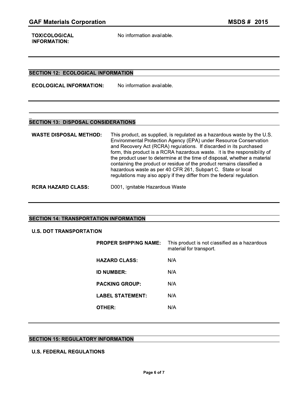**TOXICOLOGICAL** INFORMATION:

#### SECTION 12: ECOLOGICAL INFORMATION

**GAF Materials Corporation**<br>
TOXICOLOGICAL Mo information available.<br>
INFORMATION:<br>
SECTION 12: ECOLOGICAL INFORMATION<br>
ECOLOGICAL INFORMATION: No information available. ECOLOGICAL INFORMATION:

| <b>INFORMATION:</b>                        |                                                                                                                                                                                                                                                                                                                                                                                                                                                                                                                                                                                                  |  |  |  |  |  |
|--------------------------------------------|--------------------------------------------------------------------------------------------------------------------------------------------------------------------------------------------------------------------------------------------------------------------------------------------------------------------------------------------------------------------------------------------------------------------------------------------------------------------------------------------------------------------------------------------------------------------------------------------------|--|--|--|--|--|
|                                            |                                                                                                                                                                                                                                                                                                                                                                                                                                                                                                                                                                                                  |  |  |  |  |  |
|                                            | <b>SECTION 12: ECOLOGICAL INFORMATION</b>                                                                                                                                                                                                                                                                                                                                                                                                                                                                                                                                                        |  |  |  |  |  |
| <b>ECOLOGICAL INFORMATION:</b>             | No information available.                                                                                                                                                                                                                                                                                                                                                                                                                                                                                                                                                                        |  |  |  |  |  |
|                                            |                                                                                                                                                                                                                                                                                                                                                                                                                                                                                                                                                                                                  |  |  |  |  |  |
| <b>SECTION 13: DISPOSAL CONSIDERATIONS</b> |                                                                                                                                                                                                                                                                                                                                                                                                                                                                                                                                                                                                  |  |  |  |  |  |
| <b>WASTE DISPOSAL METHOD:</b>              | This product, as supplied, is regulated as a hazardous waste by the U.S.<br>Environmental Protection Agency (EPA) under Resource Conservation<br>and Recovery Act (RCRA) regulations. If discarded in its purchased<br>form, this product is a RCRA hazardous waste. It is the responsibility of<br>the product user to determine at the time of disposal, whether a material<br>containing the product or residue of the product remains classified a<br>hazardous waste as per 40 CFR 261, Subpart C. State or local<br>regulations may also apply if they differ from the federal regulation. |  |  |  |  |  |
| <b>RCRA HAZARD CLASS:</b>                  | D001, Ignitable Hazardous Waste                                                                                                                                                                                                                                                                                                                                                                                                                                                                                                                                                                  |  |  |  |  |  |

#### SECTION 14: TRANSPORTATION INFORMATION

# U.S. DOT TRANSPORTATION

| <b>ECTION 14: TRANSPORTATION INFORMATION</b> |                              |                                                                          |  |  |  |  |
|----------------------------------------------|------------------------------|--------------------------------------------------------------------------|--|--|--|--|
| <b>U.S. DOT TRANSPORTATION</b>               |                              |                                                                          |  |  |  |  |
|                                              | <b>PROPER SHIPPING NAME:</b> | This product is not classified as a hazardous<br>material for transport. |  |  |  |  |
|                                              | <b>HAZARD CLASS:</b>         | N/A                                                                      |  |  |  |  |
|                                              | <b>ID NUMBER:</b>            | N/A                                                                      |  |  |  |  |
|                                              | <b>PACKING GROUP:</b>        | N/A                                                                      |  |  |  |  |
|                                              | <b>LABEL STATEMENT:</b>      | N/A                                                                      |  |  |  |  |
|                                              | OTHER:                       | N/A                                                                      |  |  |  |  |
|                                              |                              |                                                                          |  |  |  |  |

# SECTION 15: REGULATORY INFORMATION

# U.S. FEDERAL REGULATIONS